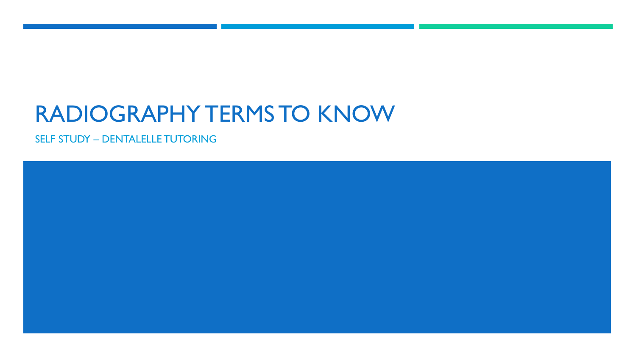## RADIOGRAPHY TERMS TO KNOW

SELF STUDY – DENTALELLE TUTORING

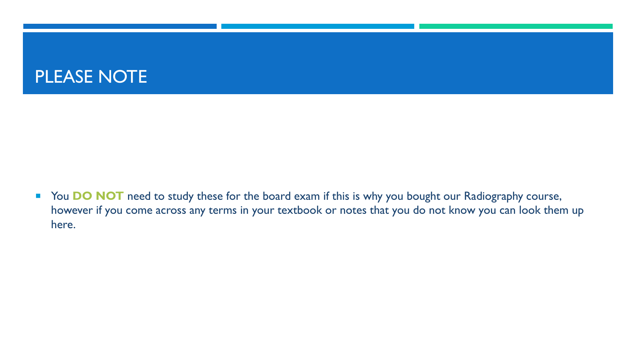## PLEASE NOTE

**The Stude DO NOT** need to study these for the board exam if this is why you bought our Radiography course, however if you come across any terms in your textbook or notes that you do not know you can look them up here.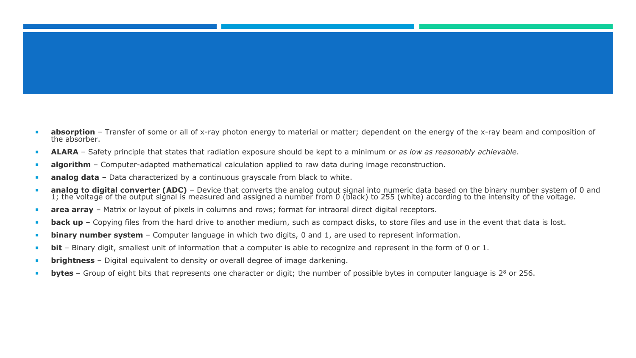- **absorption** Transfer of some or all of x-ray photon energy to material or matter; dependent on the energy of the x-ray beam and composition of the absorber.
- **ALARA** Safety principle that states that radiation exposure should be kept to a minimum or *as low as reasonably achievable*.
- **algorithm** Computer-adapted mathematical calculation applied to raw data during image reconstruction.
- **analog data** Data characterized by a continuous grayscale from black to white.
- **analog to digital converter (ADC)** Device that converts the analog output signal into numeric data based on the binary number system of 0 and 1; the voltage of the output signal is measured and assigned a number from 0 (black) to 255 (white) according to the intensity of the voltage.
- **area array** Matrix or layout of pixels in columns and rows; format for intraoral direct digital receptors.
- **back up** Copying files from the hard drive to another medium, such as compact disks, to store files and use in the event that data is lost.
- **binary number system** Computer language in which two digits, 0 and 1, are used to represent information.
- **bit** Binary digit, smallest unit of information that a computer is able to recognize and represent in the form of 0 or 1.
- **brightness** Digital equivalent to density or overall degree of image darkening.
- **bytes** Group of eight bits that represents one character or digit; the number of possible bytes in computer language is 2<sup>8</sup> or 256.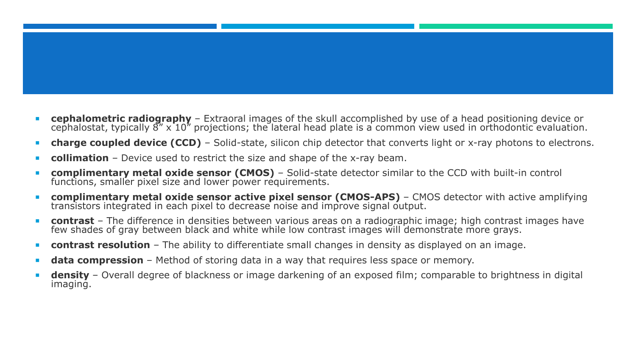- **cephalometric radiography** Extraoral images of the skull accomplished by use of a head positioning device or cephalostat, typically 8" x 10" projections; the lateral head plate is a common view used in orthodontic evaluation.
- **charge coupled device (CCD)** Solid-state, silicon chip detector that converts light or x-ray photons to electrons.
- **collimation** Device used to restrict the size and shape of the x-ray beam.
- **complimentary metal oxide sensor (CMOS)** Solid-state detector similar to the CCD with built-in control functions, smaller pixel size and lower power requirements.
- **complimentary metal oxide sensor active pixel sensor (CMOS-APS)** CMOS detector with active amplifying transistors integrated in each pixel to decrease noise and improve signal output.
- **contrast** The difference in densities between various areas on a radiographic image; high contrast images have few shades of gray between black and white while low contrast images will demonstrate more grays.
- **contrast resolution** The ability to differentiate small changes in density as displayed on an image.
- **data compression** Method of storing data in a way that requires less space or memory.
- **density** Overall degree of blackness or image darkening of an exposed film; comparable to brightness in digital imaging.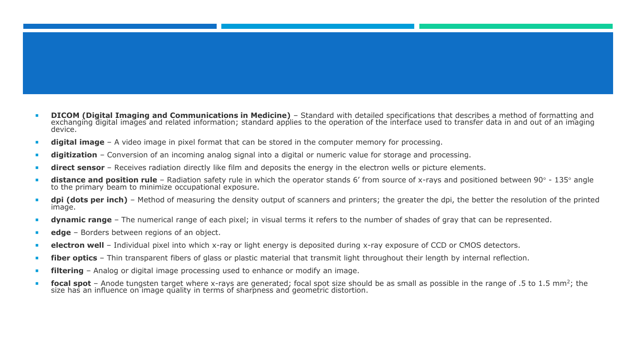- **DICOM (Digital Imaging and Communications in Medicine)** Standard with detailed specifications that describes a method of formatting and exchanging digital images and related information; standard applies to the operation of the interface used to transfer data in and out of an imaging device.
- **digital image** A video image in pixel format that can be stored in the computer memory for processing.
- **digitization** Conversion of an incoming analog signal into a digital or numeric value for storage and processing.
- **direct sensor** Receives radiation directly like film and deposits the energy in the electron wells or picture elements.
- distance and position rule Radiation safety rule in which the operator stands 6' from source of x-rays and positioned between 90° 135° angle to the primary beam to minimize occupational exposure.
- **dpi (dots per inch)** Method of measuring the density output of scanners and printers; the greater the dpi, the better the resolution of the printed image.
- **dynamic range** The numerical range of each pixel; in visual terms it refers to the number of shades of gray that can be represented.
- **edge** Borders between regions of an object.
- **electron well** Individual pixel into which x-ray or light energy is deposited during x-ray exposure of CCD or CMOS detectors.
- **fiber optics** Thin transparent fibers of glass or plastic material that transmit light throughout their length by internal reflection.
- **filtering** Analog or digital image processing used to enhance or modify an image.
- **focal spot** Anode tungsten target where x-rays are generated; focal spot size should be as small as possible in the range of .5 to 1.5 mm<sup>2</sup>; the size has an influence on image quality in terms of sharpness and geometric distortion.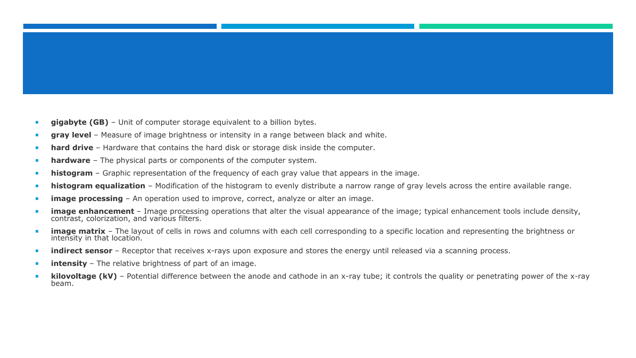- **gigabyte (GB)** Unit of computer storage equivalent to a billion bytes.
- **gray level** Measure of image brightness or intensity in a range between black and white.
- **hard drive** Hardware that contains the hard disk or storage disk inside the computer.
- **hardware** The physical parts or components of the computer system.
- **histogram** Graphic representation of the frequency of each gray value that appears in the image.
- **histogram equalization** Modification of the histogram to evenly distribute a narrow range of gray levels across the entire available range.
- **image processing** An operation used to improve, correct, analyze or alter an image.
- **image enhancement** Image processing operations that alter the visual appearance of the image; typical enhancement tools include density, contrast, colorization, and various filters.
- image matrix The layout of cells in rows and columns with each cell corresponding to a specific location and representing the brightness or intensity in that location.
- **indirect sensor** Receptor that receives x-rays upon exposure and stores the energy until released via a scanning process.
- **intensity** The relative brightness of part of an image.
- **kilovoltage (kV)** Potential difference between the anode and cathode in an x-ray tube; it controls the quality or penetrating power of the x-ray beam.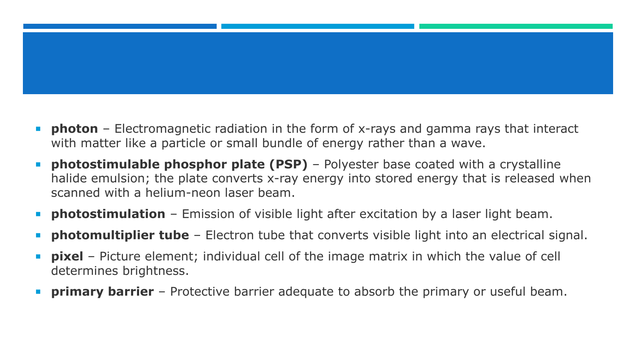- **photon** Electromagnetic radiation in the form of x-rays and gamma rays that interact with matter like a particle or small bundle of energy rather than a wave.
- **photostimulable phosphor plate (PSP)** Polyester base coated with a crystalline halide emulsion; the plate converts x-ray energy into stored energy that is released when scanned with a helium-neon laser beam.
- **photostimulation** Emission of visible light after excitation by a laser light beam.
- **photomultiplier tube** Electron tube that converts visible light into an electrical signal.
- **pixel** Picture element; individual cell of the image matrix in which the value of cell determines brightness.
- **primary barrier** Protective barrier adequate to absorb the primary or useful beam.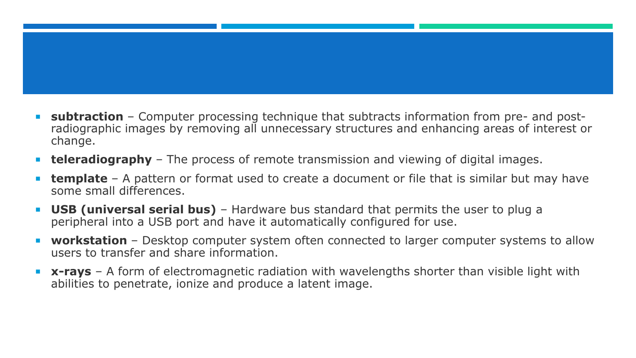- **subtraction** Computer processing technique that subtracts information from pre- and postradiographic images by removing all unnecessary structures and enhancing areas of interest or change.
- **teleradiography** The process of remote transmission and viewing of digital images.
- **template** A pattern or format used to create a document or file that is similar but may have some small differences.
- **USB (universal serial bus)** Hardware bus standard that permits the user to plug a peripheral into a USB port and have it automatically configured for use.
- **workstation** Desktop computer system often connected to larger computer systems to allow users to transfer and share information.
- **x-rays** A form of electromagnetic radiation with wavelengths shorter than visible light with abilities to penetrate, ionize and produce a latent image.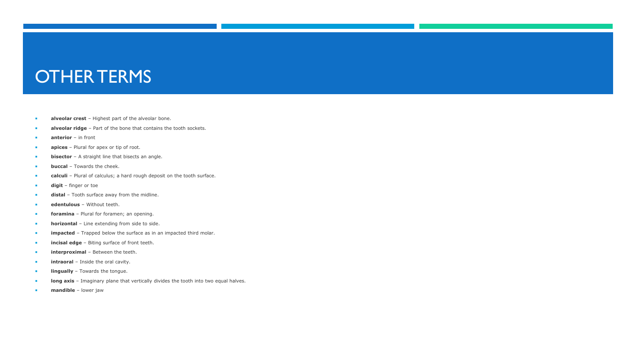## OTHER TERMS

- **alveolar crest** Highest part of the alveolar bone.
- **alveolar ridge** Part of the bone that contains the tooth sockets.
- **anterior** in front
- **apices** Plural for apex or tip of root.
- **bisector** A straight line that bisects an angle.
- **buccal** Towards the cheek.
- **calculi** Plural of calculus; a hard rough deposit on the tooth surface.
- **digit** finger or toe
- **distal** Tooth surface away from the midline.
- **edentulous** Without teeth.
- **foramina** Plural for foramen; an opening.
- **horizontal** Line extending from side to side.
- **impacted** Trapped below the surface as in an impacted third molar.
- **incisal edge** Biting surface of front teeth.
- **interproximal** Between the teeth.
- **intraoral** Inside the oral cavity.
- **lingually** Towards the tongue.
- **long axis** Imaginary plane that vertically divides the tooth into two equal halves.
- **mandible** lower jaw